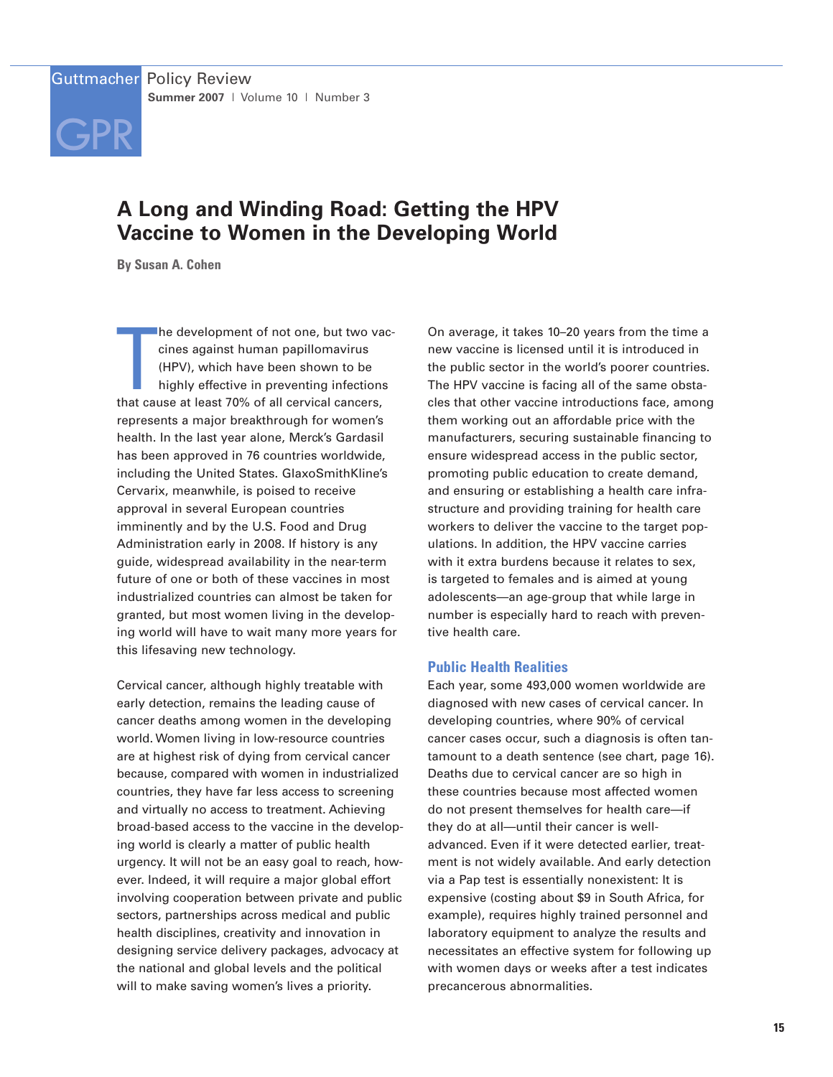

# **A Long and Winding Road: Getting the HPV Vaccine to Women in the Developing World**

**By Susan A. Cohen**

The development of not one, but two va<br>
cines against human papillomavirus<br>
(HPV), which have been shown to be<br>
highly effective in preventing infection<br>
that cause at least 70% of all cervical cancers, he development of not one, but two vaccines against human papillomavirus (HPV), which have been shown to be highly effective in preventing infections represents a major breakthrough for women's health. In the last year alone, Merck's Gardasil has been approved in 76 countries worldwide, including the United States. GlaxoSmithKline's Cervarix, meanwhile, is poised to receive approval in several European countries imminently and by the U.S. Food and Drug Administration early in 2008. If history is any guide, widespread availability in the near-term future of one or both of these vaccines in most industrialized countries can almost be taken for granted, but most women living in the developing world will have to wait many more years for this lifesaving new technology.

Cervical cancer, although highly treatable with early detection, remains the leading cause of cancer deaths among women in the developing world. Women living in low-resource countries are at highest risk of dying from cervical cancer because, compared with women in industrialized countries, they have far less access to screening and virtually no access to treatment. Achieving broad-based access to the vaccine in the developing world is clearly a matter of public health urgency. It will not be an easy goal to reach, however. Indeed, it will require a major global effort involving cooperation between private and public sectors, partnerships across medical and public health disciplines, creativity and innovation in designing service delivery packages, advocacy at the national and global levels and the political will to make saving women's lives a priority.

On average, it takes 10–20 years from the time a new vaccine is licensed until it is introduced in the public sector in the world's poorer countries. The HPV vaccine is facing all of the same obstacles that other vaccine introductions face, among them working out an affordable price with the manufacturers, securing sustainable financing to ensure widespread access in the public sector, promoting public education to create demand, and ensuring or establishing a health care infrastructure and providing training for health care workers to deliver the vaccine to the target populations. In addition, the HPV vaccine carries with it extra burdens because it relates to sex, is targeted to females and is aimed at young adolescents—an age-group that while large in number is especially hard to reach with preventive health care.

## **Public Health Realities**

Each year, some 493,000 women worldwide are diagnosed with new cases of cervical cancer. In developing countries, where 90% of cervical cancer cases occur, such a diagnosis is often tantamount to a death sentence (see chart, page 16). Deaths due to cervical cancer are so high in these countries because most affected women do not present themselves for health care—if they do at all—until their cancer is welladvanced. Even if it were detected earlier, treatment is not widely available. And early detection via a Pap test is essentially nonexistent: It is expensive (costing about \$9 in South Africa, for example), requires highly trained personnel and laboratory equipment to analyze the results and necessitates an effective system for following up with women days or weeks after a test indicates precancerous abnormalities.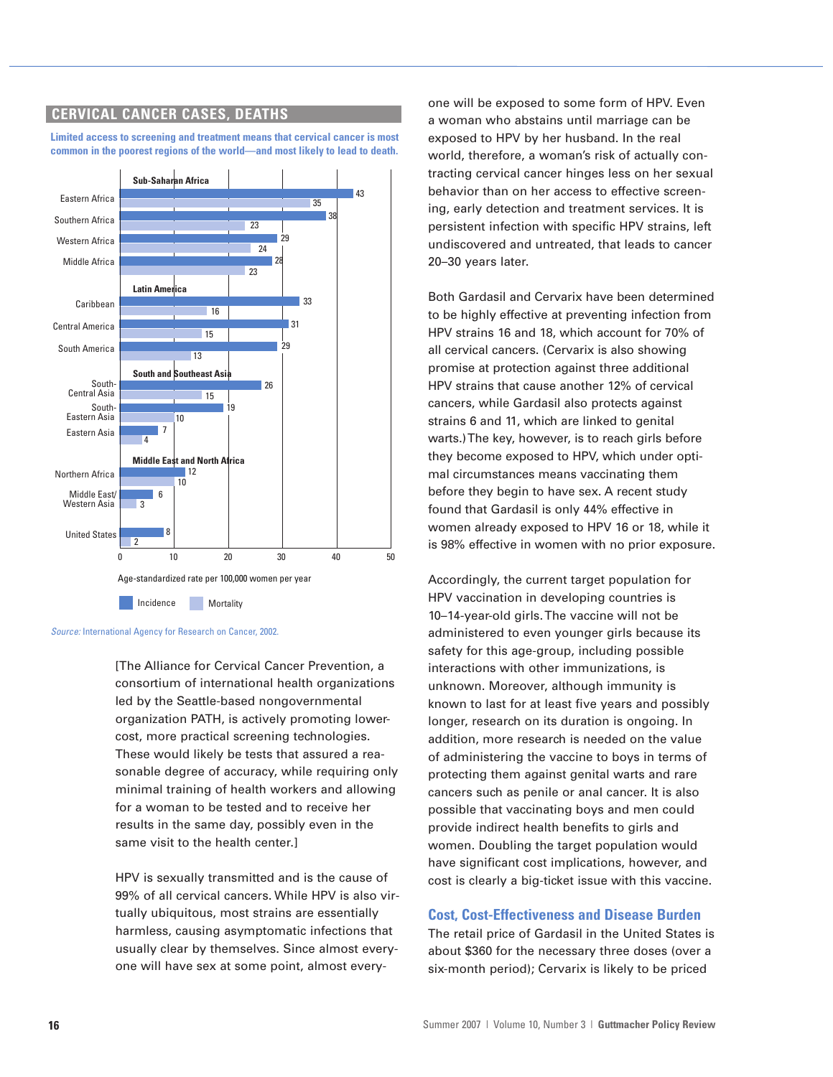# **CERVICAL CANCER CASES, DEATHS**

**Limited access to screening and treatment means that cervical cancer is most common in the poorest regions of the world—and most likely to lead to death.**



Source: International Agency for Research on Cancer, 2002.

[The Alliance for Cervical Cancer Prevention, a consortium of international health organizations led by the Seattle-based nongovernmental organization PATH, is actively promoting lowercost, more practical screening technologies. These would likely be tests that assured a reasonable degree of accuracy, while requiring only minimal training of health workers and allowing for a woman to be tested and to receive her results in the same day, possibly even in the same visit to the health center.]

HPV is sexually transmitted and is the cause of 99% of all cervical cancers. While HPV is also virtually ubiquitous, most strains are essentially harmless, causing asymptomatic infections that usually clear by themselves. Since almost everyone will have sex at some point, almost everyone will be exposed to some form of HPV. Even a woman who abstains until marriage can be exposed to HPV by her husband. In the real world, therefore, a woman's risk of actually contracting cervical cancer hinges less on her sexual behavior than on her access to effective screening, early detection and treatment services. It is persistent infection with specific HPV strains, left undiscovered and untreated, that leads to cancer 20–30 years later.

Both Gardasil and Cervarix have been determined to be highly effective at preventing infection from HPV strains 16 and 18, which account for 70% of all cervical cancers. (Cervarix is also showing promise at protection against three additional HPV strains that cause another 12% of cervical cancers, while Gardasil also protects against strains 6 and 11, which are linked to genital warts.) The key, however, is to reach girls before they become exposed to HPV, which under optimal circumstances means vaccinating them before they begin to have sex. A recent study found that Gardasil is only 44% effective in women already exposed to HPV 16 or 18, while it is 98% effective in women with no prior exposure.

Accordingly, the current target population for HPV vaccination in developing countries is 10–14-year-old girls. The vaccine will not be administered to even younger girls because its safety for this age-group, including possible interactions with other immunizations, is unknown. Moreover, although immunity is known to last for at least five years and possibly longer, research on its duration is ongoing. In addition, more research is needed on the value of administering the vaccine to boys in terms of protecting them against genital warts and rare cancers such as penile or anal cancer. It is also possible that vaccinating boys and men could provide indirect health benefits to girls and women. Doubling the target population would have significant cost implications, however, and cost is clearly a big-ticket issue with this vaccine.

#### **Cost, Cost-Effectiveness and Disease Burden**

The retail price of Gardasil in the United States is about \$360 for the necessary three doses (over a six-month period); Cervarix is likely to be priced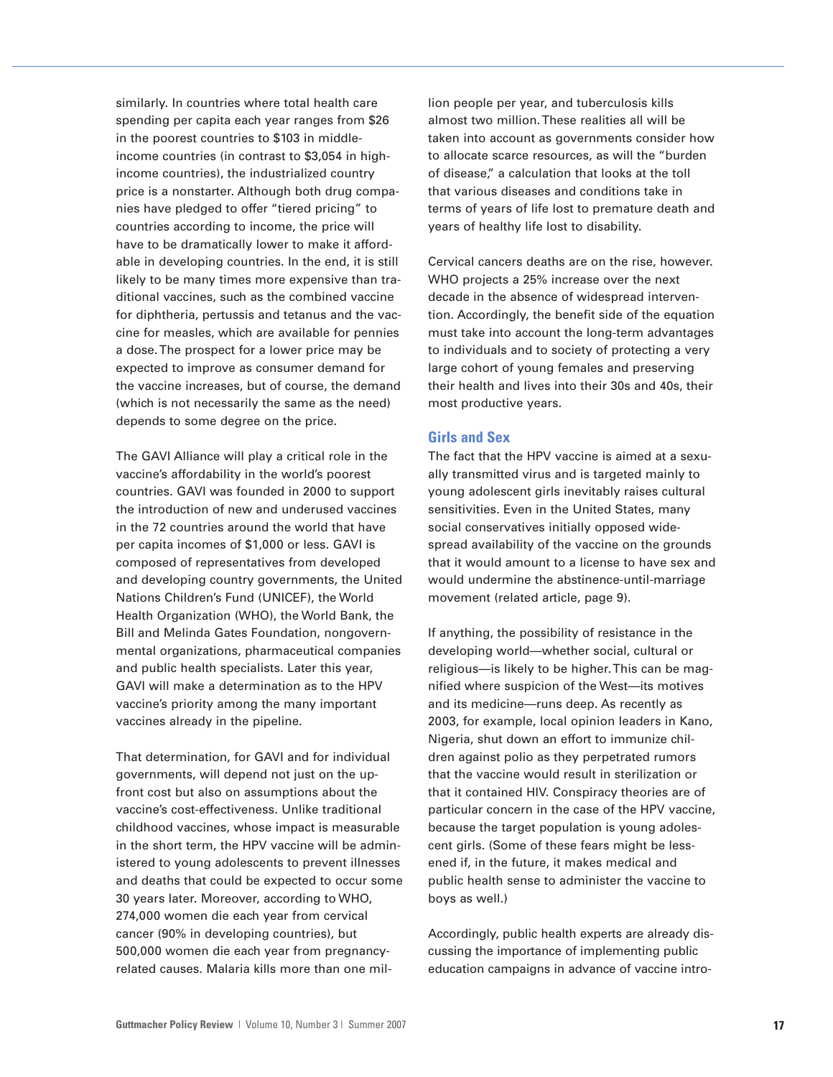similarly. In countries where total health care spending per capita each year ranges from \$26 in the poorest countries to \$103 in middleincome countries (in contrast to \$3,054 in highincome countries), the industrialized country price is a nonstarter. Although both drug companies have pledged to offer "tiered pricing" to countries according to income, the price will have to be dramatically lower to make it affordable in developing countries. In the end, it is still likely to be many times more expensive than traditional vaccines, such as the combined vaccine for diphtheria, pertussis and tetanus and the vaccine for measles, which are available for pennies a dose. The prospect for a lower price may be expected to improve as consumer demand for the vaccine increases, but of course, the demand (which is not necessarily the same as the need) depends to some degree on the price.

The GAVI Alliance will play a critical role in the vaccine's affordability in the world's poorest countries. GAVI was founded in 2000 to support the introduction of new and underused vaccines in the 72 countries around the world that have per capita incomes of \$1,000 or less. GAVI is composed of representatives from developed and developing country governments, the United Nations Children's Fund (UNICEF), the World Health Organization (WHO), the World Bank, the Bill and Melinda Gates Foundation, nongovernmental organizations, pharmaceutical companies and public health specialists. Later this year, GAVI will make a determination as to the HPV vaccine's priority among the many important vaccines already in the pipeline.

That determination, for GAVI and for individual governments, will depend not just on the upfront cost but also on assumptions about the vaccine's cost-effectiveness. Unlike traditional childhood vaccines, whose impact is measurable in the short term, the HPV vaccine will be administered to young adolescents to prevent illnesses and deaths that could be expected to occur some 30 years later. Moreover, according to WHO, 274,000 women die each year from cervical cancer (90% in developing countries), but 500,000 women die each year from pregnancyrelated causes. Malaria kills more than one million people per year, and tuberculosis kills almost two million. These realities all will be taken into account as governments consider how to allocate scarce resources, as will the "burden of disease," a calculation that looks at the toll that various diseases and conditions take in terms of years of life lost to premature death and years of healthy life lost to disability.

Cervical cancers deaths are on the rise, however. WHO projects a 25% increase over the next decade in the absence of widespread intervention. Accordingly, the benefit side of the equation must take into account the long-term advantages to individuals and to society of protecting a very large cohort of young females and preserving their health and lives into their 30s and 40s, their most productive years.

## **Girls and Sex**

The fact that the HPV vaccine is aimed at a sexually transmitted virus and is targeted mainly to young adolescent girls inevitably raises cultural sensitivities. Even in the United States, many social conservatives initially opposed widespread availability of the vaccine on the grounds that it would amount to a license to have sex and would undermine the abstinence-until-marriage movement (related article, page 9).

If anything, the possibility of resistance in the developing world—whether social, cultural or religious—is likely to be higher. This can be magnified where suspicion of the West—its motives and its medicine—runs deep. As recently as 2003, for example, local opinion leaders in Kano, Nigeria, shut down an effort to immunize children against polio as they perpetrated rumors that the vaccine would result in sterilization or that it contained HIV. Conspiracy theories are of particular concern in the case of the HPV vaccine, because the target population is young adolescent girls. (Some of these fears might be lessened if, in the future, it makes medical and public health sense to administer the vaccine to boys as well.)

Accordingly, public health experts are already discussing the importance of implementing public education campaigns in advance of vaccine intro-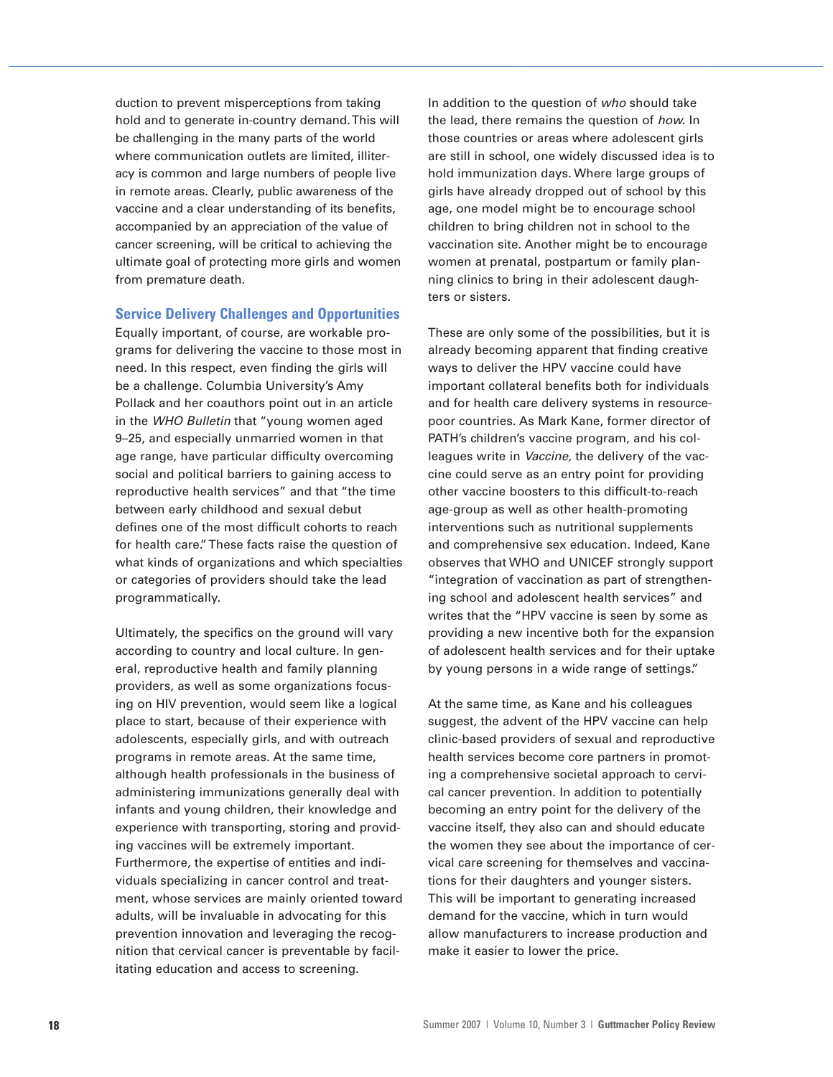duction to prevent misperceptions from taking hold and to generate in-country demand. This will be challenging in the many parts of the world where communication outlets are limited, illiteracy is common and large numbers of people live in remote areas. Clearly, public awareness of the vaccine and a clear understanding of its benefits, accompanied by an appreciation of the value of cancer screening, will be critical to achieving the ultimate goal of protecting more girls and women from premature death.

#### **Service Delivery Challenges and Opportunities**

Equally important, of course, are workable programs for delivering the vaccine to those most in need. In this respect, even finding the girls will be a challenge. Columbia University's Amy Pollack and her coauthors point out in an article in the WHO Bulletin that "young women aged 9–25, and especially unmarried women in that age range, have particular difficulty overcoming social and political barriers to gaining access to reproductive health services" and that "the time between early childhood and sexual debut defines one of the most difficult cohorts to reach for health care." These facts raise the question of what kinds of organizations and which specialties or categories of providers should take the lead programmatically.

Ultimately, the specifics on the ground will vary according to country and local culture. In general, reproductive health and family planning providers, as well as some organizations focusing on HIV prevention, would seem like a logical place to start, because of their experience with adolescents, especially girls, and with outreach programs in remote areas. At the same time, although health professionals in the business of administering immunizations generally deal with infants and young children, their knowledge and experience with transporting, storing and providing vaccines will be extremely important. Furthermore, the expertise of entities and individuals specializing in cancer control and treatment, whose services are mainly oriented toward adults, will be invaluable in advocating for this prevention innovation and leveraging the recognition that cervical cancer is preventable by facilitating education and access to screening.

In addition to the question of who should take the lead, there remains the question of how. In those countries or areas where adolescent girls are still in school, one widely discussed idea is to hold immunization days. Where large groups of girls have already dropped out of school by this age, one model might be to encourage school children to bring children not in school to the vaccination site. Another might be to encourage women at prenatal, postpartum or family planning clinics to bring in their adolescent daughters or sisters.

These are only some of the possibilities, but it is already becoming apparent that finding creative ways to deliver the HPV vaccine could have important collateral benefits both for individuals and for health care delivery systems in resourcepoor countries. As Mark Kane, former director of PATH's children's vaccine program, and his colleagues write in Vaccine, the delivery of the vaccine could serve as an entry point for providing other vaccine boosters to this difficult-to-reach age-group as well as other health-promoting interventions such as nutritional supplements and comprehensive sex education. Indeed, Kane observes that WHO and UNICEF strongly support "integration of vaccination as part of strengthening school and adolescent health services" and writes that the "HPV vaccine is seen by some as providing a new incentive both for the expansion of adolescent health services and for their uptake by young persons in a wide range of settings."

At the same time, as Kane and his colleagues suggest, the advent of the HPV vaccine can help clinic-based providers of sexual and reproductive health services become core partners in promoting a comprehensive societal approach to cervical cancer prevention. In addition to potentially becoming an entry point for the delivery of the vaccine itself, they also can and should educate the women they see about the importance of cervical care screening for themselves and vaccinations for their daughters and younger sisters. This will be important to generating increased demand for the vaccine, which in turn would allow manufacturers to increase production and make it easier to lower the price.